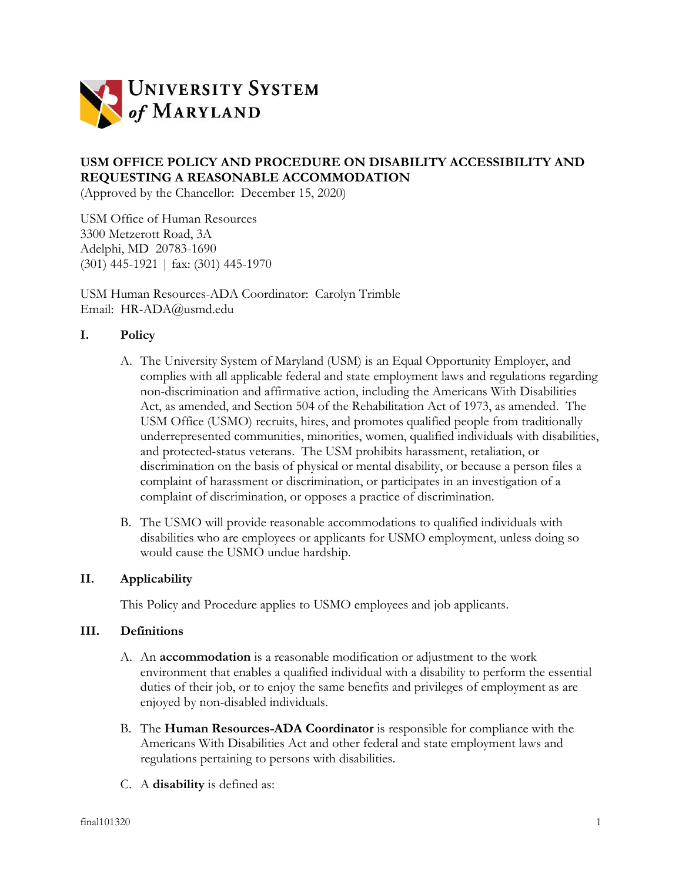

# **USM OFFICE POLICY AND PROCEDURE ON DISABILITY ACCESSIBILITY AND REQUESTING A REASONABLE ACCOMMODATION**

(Approved by the Chancellor: December 15, 2020)

USM Office of Human Resources 3300 Metzerott Road, 3A Adelphi, MD 20783-1690 (301) 445-1921 | fax: (301) 445-1970

USM Human Resources-ADA Coordinator: Carolyn Trimble Email: HR-ADA@usmd.edu

## **I. Policy**

- A. The University System of Maryland (USM) is an Equal Opportunity Employer, and complies with all applicable federal and state employment laws and regulations regarding non-discrimination and affirmative action, including the Americans With Disabilities Act, as amended, and Section 504 of the Rehabilitation Act of 1973, as amended. The USM Office (USMO) recruits, hires, and promotes qualified people from traditionally underrepresented communities, minorities, women, qualified individuals with disabilities, and protected-status veterans. The USM prohibits harassment, retaliation, or discrimination on the basis of physical or mental disability, or because a person files a complaint of harassment or discrimination, or participates in an investigation of a complaint of discrimination, or opposes a practice of discrimination.
- B. The USMO will provide reasonable accommodations to qualified individuals with disabilities who are employees or applicants for USMO employment, unless doing so would cause the USMO undue hardship.

#### **II. Applicability**

This Policy and Procedure applies to USMO employees and job applicants.

## **III. Definitions**

- A. An **accommodation** is a reasonable modification or adjustment to the work environment that enables a qualified individual with a disability to perform the essential duties of their job, or to enjoy the same benefits and privileges of employment as are enjoyed by non-disabled individuals.
- B. The **Human Resources-ADA Coordinator** is responsible for compliance with the Americans With Disabilities Act and other federal and state employment laws and regulations pertaining to persons with disabilities.
- C. A **disability** is defined as: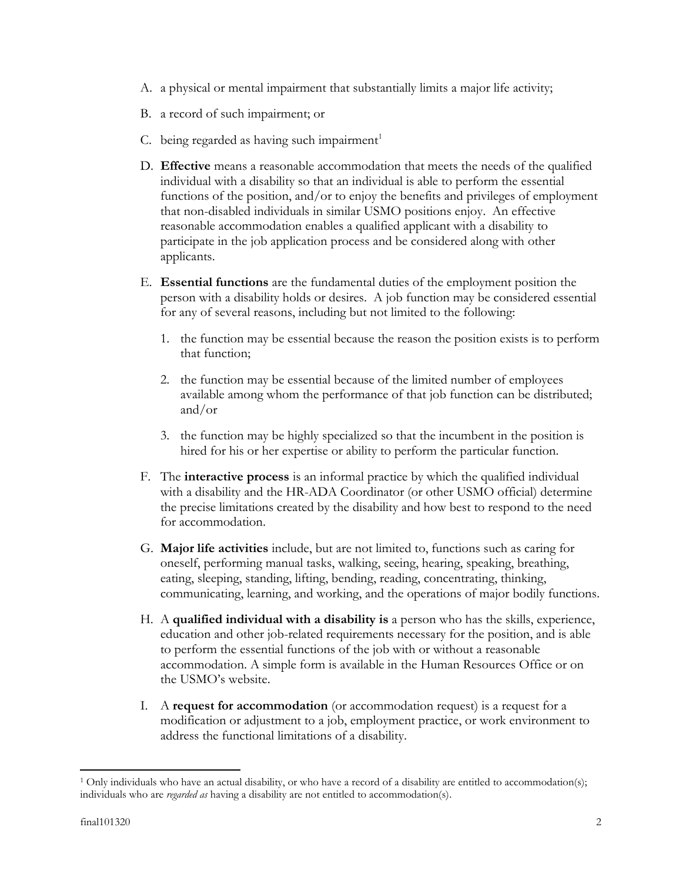- A. a physical or mental impairment that substantially limits a major life activity;
- B. a record of such impairment; or
- C. being regarded as having such impairment $1$
- D. **Effective** means a reasonable accommodation that meets the needs of the qualified individual with a disability so that an individual is able to perform the essential functions of the position, and/or to enjoy the benefits and privileges of employment that non-disabled individuals in similar USMO positions enjoy. An effective reasonable accommodation enables a qualified applicant with a disability to participate in the job application process and be considered along with other applicants.
- E. **Essential functions** are the fundamental duties of the employment position the person with a disability holds or desires. A job function may be considered essential for any of several reasons, including but not limited to the following:
	- 1. the function may be essential because the reason the position exists is to perform that function;
	- 2. the function may be essential because of the limited number of employees available among whom the performance of that job function can be distributed; and/or
	- 3. the function may be highly specialized so that the incumbent in the position is hired for his or her expertise or ability to perform the particular function.
- F. The **interactive process** is an informal practice by which the qualified individual with a disability and the HR-ADA Coordinator (or other USMO official) determine the precise limitations created by the disability and how best to respond to the need for accommodation.
- G. **Major life activities** include, but are not limited to, functions such as caring for oneself, performing manual tasks, walking, seeing, hearing, speaking, breathing, eating, sleeping, standing, lifting, bending, reading, concentrating, thinking, communicating, learning, and working, and the operations of major bodily functions.
- H. A **qualified individual with a disability is** a person who has the skills, experience, education and other job-related requirements necessary for the position, and is able to perform the essential functions of the job with or without a reasonable accommodation. A simple form is available in the Human Resources Office or on the USMO's website.
- I. A **request for accommodation** (or accommodation request) is a request for a modification or adjustment to a job, employment practice, or work environment to address the functional limitations of a disability.

<sup>1</sup> Only individuals who have an actual disability, or who have a record of a disability are entitled to accommodation(s); individuals who are *regarded as* having a disability are not entitled to accommodation(s).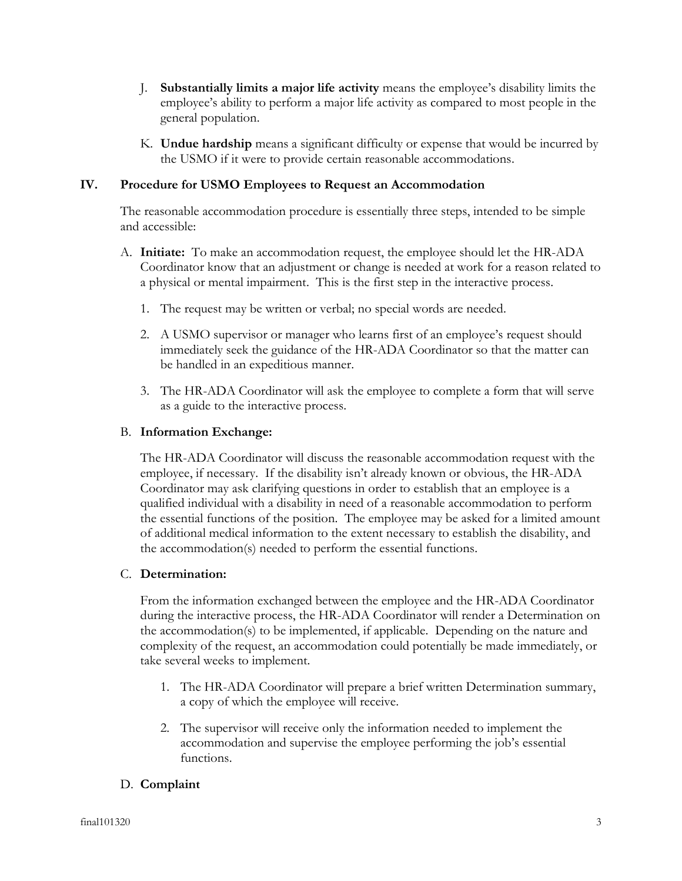- J. **Substantially limits a major life activity** means the employee's disability limits the employee's ability to perform a major life activity as compared to most people in the general population.
- K. **Undue hardship** means a significant difficulty or expense that would be incurred by the USMO if it were to provide certain reasonable accommodations.

## **IV. Procedure for USMO Employees to Request an Accommodation**

The reasonable accommodation procedure is essentially three steps, intended to be simple and accessible:

- A. **Initiate:** To make an accommodation request, the employee should let the HR-ADA Coordinator know that an adjustment or change is needed at work for a reason related to a physical or mental impairment. This is the first step in the interactive process.
	- 1. The request may be written or verbal; no special words are needed.
	- 2. A USMO supervisor or manager who learns first of an employee's request should immediately seek the guidance of the HR-ADA Coordinator so that the matter can be handled in an expeditious manner.
	- 3. The HR-ADA Coordinator will ask the employee to complete a form that will serve as a guide to the interactive process.

## B. **Information Exchange:**

The HR-ADA Coordinator will discuss the reasonable accommodation request with the employee, if necessary. If the disability isn't already known or obvious, the HR-ADA Coordinator may ask clarifying questions in order to establish that an employee is a qualified individual with a disability in need of a reasonable accommodation to perform the essential functions of the position. The employee may be asked for a limited amount of additional medical information to the extent necessary to establish the disability, and the accommodation(s) needed to perform the essential functions.

#### C. **Determination:**

From the information exchanged between the employee and the HR-ADA Coordinator during the interactive process, the HR-ADA Coordinator will render a Determination on the accommodation(s) to be implemented, if applicable. Depending on the nature and complexity of the request, an accommodation could potentially be made immediately, or take several weeks to implement.

- 1. The HR-ADA Coordinator will prepare a brief written Determination summary, a copy of which the employee will receive.
- 2. The supervisor will receive only the information needed to implement the accommodation and supervise the employee performing the job's essential functions.

## D. **Complaint**